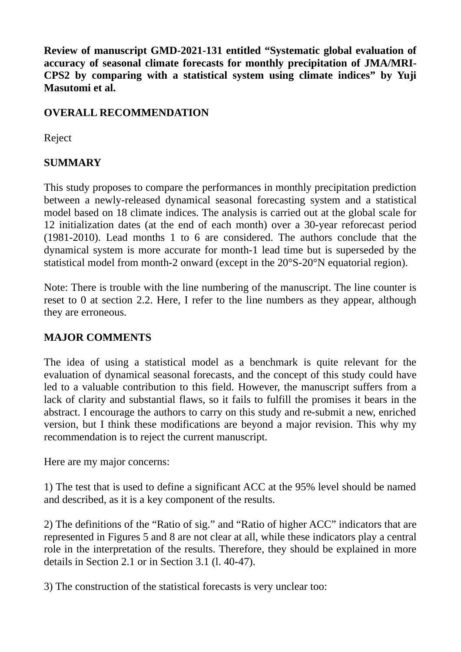**Review of manuscript GMD-2021-131 entitled "Systematic global evaluation of accuracy of seasonal climate forecasts for monthly precipitation of JMA/MRI-CPS2 by comparing with a statistical system using climate indices" by Yuji Masutomi et al.**

## **OVERALL RECOMMENDATION**

Reject

## **SUMMARY**

This study proposes to compare the performances in monthly precipitation prediction between a newly-released dynamical seasonal forecasting system and a statistical model based on 18 climate indices. The analysis is carried out at the global scale for 12 initialization dates (at the end of each month) over a 30-year reforecast period (1981-2010). Lead months 1 to 6 are considered. The authors conclude that the dynamical system is more accurate for month-1 lead time but is superseded by the statistical model from month-2 onward (except in the 20°S-20°N equatorial region).

Note: There is trouble with the line numbering of the manuscript. The line counter is reset to 0 at section 2.2. Here, I refer to the line numbers as they appear, although they are erroneous.

## **MAJOR COMMENTS**

The idea of using a statistical model as a benchmark is quite relevant for the evaluation of dynamical seasonal forecasts, and the concept of this study could have led to a valuable contribution to this field. However, the manuscript suffers from a lack of clarity and substantial flaws, so it fails to fulfill the promises it bears in the abstract. I encourage the authors to carry on this study and re-submit a new, enriched version, but I think these modifications are beyond a major revision. This why my recommendation is to reject the current manuscript.

Here are my major concerns:

1) The test that is used to define a significant ACC at the 95% level should be named and described, as it is a key component of the results.

2) The definitions of the "Ratio of sig." and "Ratio of higher ACC" indicators that are represented in Figures 5 and 8 are not clear at all, while these indicators play a central role in the interpretation of the results. Therefore, they should be explained in more details in Section 2.1 or in Section 3.1 (l. 40-47).

3) The construction of the statistical forecasts is very unclear too: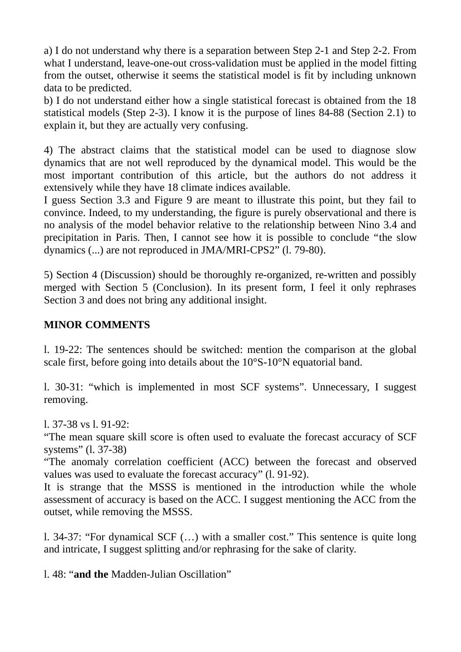a) I do not understand why there is a separation between Step 2-1 and Step 2-2. From what I understand, leave-one-out cross-validation must be applied in the model fitting from the outset, otherwise it seems the statistical model is fit by including unknown data to be predicted.

b) I do not understand either how a single statistical forecast is obtained from the 18 statistical models (Step 2-3). I know it is the purpose of lines 84-88 (Section 2.1) to explain it, but they are actually very confusing.

4) The abstract claims that the statistical model can be used to diagnose slow dynamics that are not well reproduced by the dynamical model. This would be the most important contribution of this article, but the authors do not address it extensively while they have 18 climate indices available.

I guess Section 3.3 and Figure 9 are meant to illustrate this point, but they fail to convince. Indeed, to my understanding, the figure is purely observational and there is no analysis of the model behavior relative to the relationship between Nino 3.4 and precipitation in Paris. Then, I cannot see how it is possible to conclude "the slow dynamics (...) are not reproduced in JMA/MRI-CPS2" (l. 79-80).

5) Section 4 (Discussion) should be thoroughly re-organized, re-written and possibly merged with Section 5 (Conclusion). In its present form, I feel it only rephrases Section 3 and does not bring any additional insight.

## **MINOR COMMENTS**

l. 19-22: The sentences should be switched: mention the comparison at the global scale first, before going into details about the 10°S-10°N equatorial band.

l. 30-31: "which is implemented in most SCF systems". Unnecessary, I suggest removing.

l. 37-38 vs l. 91-92:

"The mean square skill score is often used to evaluate the forecast accuracy of SCF systems" (l. 37-38)

"The anomaly correlation coefficient (ACC) between the forecast and observed values was used to evaluate the forecast accuracy" (l. 91-92).

It is strange that the MSSS is mentioned in the introduction while the whole assessment of accuracy is based on the ACC. I suggest mentioning the ACC from the outset, while removing the MSSS.

l. 34-37: "For dynamical SCF (…) with a smaller cost." This sentence is quite long and intricate, I suggest splitting and/or rephrasing for the sake of clarity.

l. 48: "**and the** Madden-Julian Oscillation"